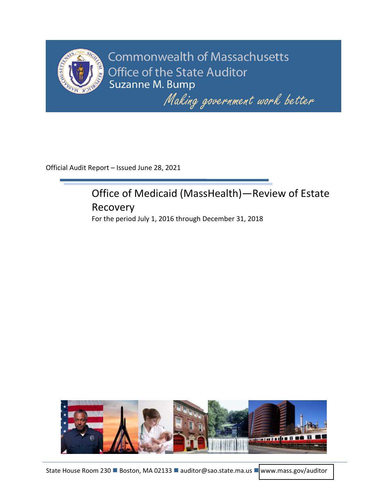

**Commonwealth of Massachusetts** Office of the State Auditor Suzanne M. Bump

Making government work better

Official Audit Report – Issued June 28, 2021

# Office of Medicaid (MassHealth)—Review of Estate Recovery

For the period July 1, 2016 through December 31, 2018

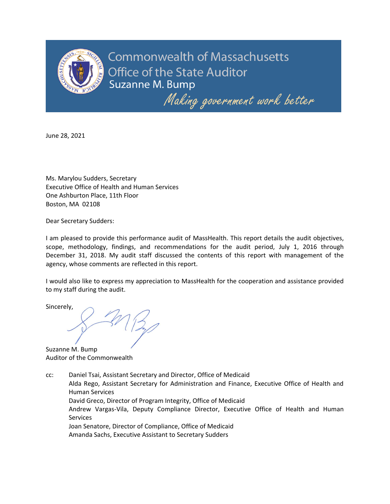

**Commonwealth of Massachusetts** Office of the State Auditor Suzanne M. Bump

Making government work better

June 28, 2021

Ms. Marylou Sudders, Secretary Executive Office of Health and Human Services One Ashburton Place, 11th Floor Boston, MA 02108

Dear Secretary Sudders:

I am pleased to provide this performance audit of MassHealth. This report details the audit objectives, scope, methodology, findings, and recommendations for the audit period, July 1, 2016 through December 31, 2018. My audit staff discussed the contents of this report with management of the agency, whose comments are reflected in this report.

I would also like to express my appreciation to MassHealth for the cooperation and assistance provided to my staff during the audit.

Sincerely,

Suzanne M. Bump Auditor of the Commonwealth

cc: Daniel Tsai, Assistant Secretary and Director, Office of Medicaid Alda Rego, Assistant Secretary for Administration and Finance, Executive Office of Health and Human Services David Greco, Director of Program Integrity, Office of Medicaid Andrew Vargas-Vila, Deputy Compliance Director, Executive Office of Health and Human

**Services** 

Joan Senatore, Director of Compliance, Office of Medicaid

Amanda Sachs, Executive Assistant to Secretary Sudders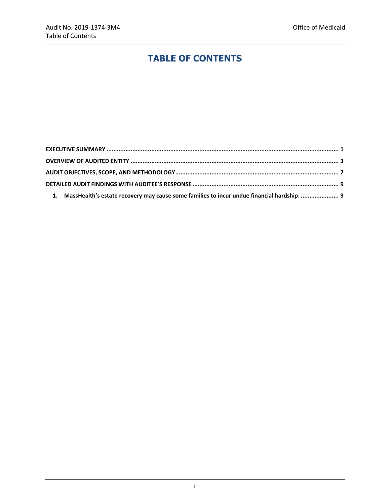# **TABLE OF CONTENTS**

| 1. MassHealth's estate recovery may cause some families to incur undue financial hardship.  9 |  |
|-----------------------------------------------------------------------------------------------|--|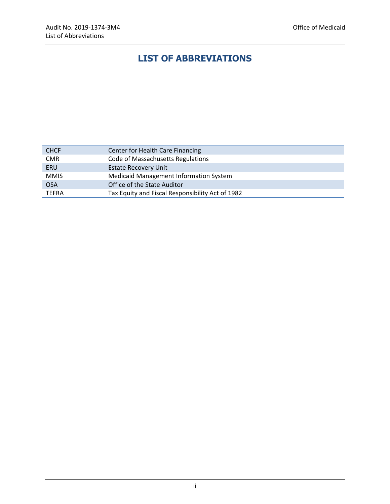# **LIST OF ABBREVIATIONS**

| <b>CHCF</b>  | Center for Health Care Financing                 |
|--------------|--------------------------------------------------|
| <b>CMR</b>   | <b>Code of Massachusetts Regulations</b>         |
| ERU          | <b>Estate Recovery Unit</b>                      |
| <b>MMIS</b>  | <b>Medicaid Management Information System</b>    |
| <b>OSA</b>   | Office of the State Auditor                      |
| <b>TEFRA</b> | Tax Equity and Fiscal Responsibility Act of 1982 |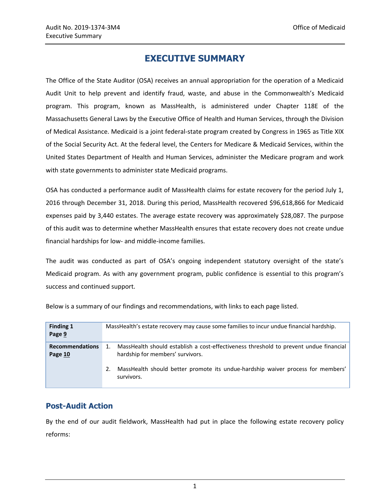## **EXECUTIVE SUMMARY**

<span id="page-4-0"></span>The Office of the State Auditor (OSA) receives an annual appropriation for the operation of a Medicaid Audit Unit to help prevent and identify fraud, waste, and abuse in the Commonwealth's Medicaid program. This program, known as MassHealth, is administered under Chapter 118E of the Massachusetts General Laws by the Executive Office of Health and Human Services, through the Division of Medical Assistance. Medicaid is a joint federal-state program created by Congress in 1965 as Title XIX of the Social Security Act. At the federal level, the Centers for Medicare & Medicaid Services, within the United States Department of Health and Human Services, administer the Medicare program and work with state governments to administer state Medicaid programs.

OSA has conducted a performance audit of MassHealth claims for estate recovery for the period July 1, 2016 through December 31, 2018. During this period, MassHealth recovered \$96,618,866 for Medicaid expenses paid by 3,440 estates. The average estate recovery was approximately \$28,087. The purpose of this audit was to determine whether MassHealth ensures that estate recovery does not create undue financial hardships for low- and middle-income families.

The audit was conducted as part of OSA's ongoing independent statutory oversight of the state's Medicaid program. As with any government program, public confidence is essential to this program's success and continued support.

| <b>Finding 1</b><br>Page 9        | MassHealth's estate recovery may cause some families to incur undue financial hardship.                                   |  |  |
|-----------------------------------|---------------------------------------------------------------------------------------------------------------------------|--|--|
| <b>Recommendations</b><br>Page 10 | MassHealth should establish a cost-effectiveness threshold to prevent undue financial<br>hardship for members' survivors. |  |  |
|                                   | MassHealth should better promote its undue-hardship waiver process for members'<br>2.<br>survivors.                       |  |  |

Below is a summary of our findings and recommendations, with links to each page listed.

#### **Post-Audit Action**

By the end of our audit fieldwork, MassHealth had put in place the following estate recovery policy reforms: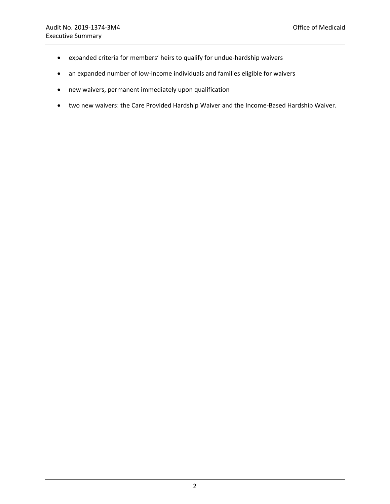- expanded criteria for members' heirs to qualify for undue-hardship waivers
- an expanded number of low-income individuals and families eligible for waivers
- new waivers, permanent immediately upon qualification
- two new waivers: the Care Provided Hardship Waiver and the Income-Based Hardship Waiver.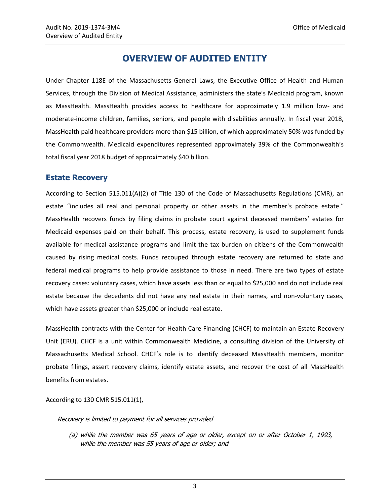### **OVERVIEW OF AUDITED ENTITY**

<span id="page-6-0"></span>Under Chapter 118E of the Massachusetts General Laws, the Executive Office of Health and Human Services, through the Division of Medical Assistance, administers the state's Medicaid program, known as MassHealth. MassHealth provides access to healthcare for approximately 1.9 million low- and moderate-income children, families, seniors, and people with disabilities annually. In fiscal year 2018, MassHealth paid healthcare providers more than \$15 billion, of which approximately 50% was funded by the Commonwealth. Medicaid expenditures represented approximately 39% of the Commonwealth's total fiscal year 2018 budget of approximately \$40 billion.

#### **Estate Recovery**

According to Section 515.011(A)(2) of Title 130 of the Code of Massachusetts Regulations (CMR), an estate "includes all real and personal property or other assets in the member's probate estate." MassHealth recovers funds by filing claims in probate court against deceased members' estates for Medicaid expenses paid on their behalf. This process, estate recovery, is used to supplement funds available for medical assistance programs and limit the tax burden on citizens of the Commonwealth caused by rising medical costs. Funds recouped through estate recovery are returned to state and federal medical programs to help provide assistance to those in need. There are two types of estate recovery cases: voluntary cases, which have assets less than or equal to \$25,000 and do not include real estate because the decedents did not have any real estate in their names, and non-voluntary cases, which have assets greater than \$25,000 or include real estate.

MassHealth contracts with the Center for Health Care Financing (CHCF) to maintain an Estate Recovery Unit (ERU). CHCF is a unit within Commonwealth Medicine, a consulting division of the University of Massachusetts Medical School. CHCF's role is to identify deceased MassHealth members, monitor probate filings, assert recovery claims, identify estate assets, and recover the cost of all MassHealth benefits from estates.

According to 130 CMR 515.011(1),

Recovery is limited to payment for all services provided

(a) while the member was 65 years of age or older, except on or after October 1, 1993, while the member was 55 years of age or older; and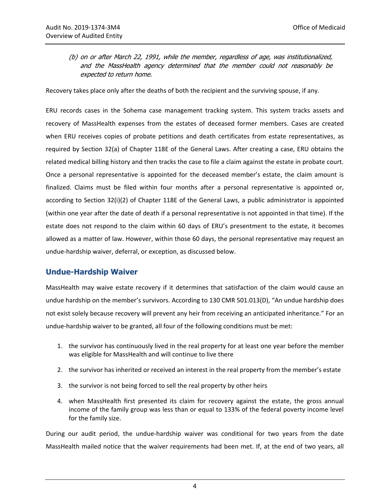(b) on or after March 22, 1991, while the member, regardless of age, was institutionalized, and the MassHealth agency determined that the member could not reasonably be expected to return home.

Recovery takes place only after the deaths of both the recipient and the surviving spouse, if any.

ERU records cases in the Sohema case management tracking system. This system tracks assets and recovery of MassHealth expenses from the estates of deceased former members. Cases are created when ERU receives copies of probate petitions and death certificates from estate representatives, as required by Section 32(a) of Chapter 118E of the General Laws. After creating a case, ERU obtains the related medical billing history and then tracks the case to file a claim against the estate in probate court. Once a personal representative is appointed for the deceased member's estate, the claim amount is finalized. Claims must be filed within four months after a personal representative is appointed or, according to Section 32(i)(2) of Chapter 118E of the General Laws, a public administrator is appointed (within one year after the date of death if a personal representative is not appointed in that time). If the estate does not respond to the claim within 60 days of ERU's presentment to the estate, it becomes allowed as a matter of law. However, within those 60 days, the personal representative may request an undue-hardship waiver, deferral, or exception, as discussed below.

#### **Undue-Hardship Waiver**

MassHealth may waive estate recovery if it determines that satisfaction of the claim would cause an undue hardship on the member's survivors. According to 130 CMR 501.013(D), "An undue hardship does not exist solely because recovery will prevent any heir from receiving an anticipated inheritance." For an undue-hardship waiver to be granted, all four of the following conditions must be met:

- 1. the survivor has continuously lived in the real property for at least one year before the member was eligible for MassHealth and will continue to live there
- 2. the survivor has inherited or received an interest in the real property from the member's estate
- 3. the survivor is not being forced to sell the real property by other heirs
- 4. when MassHealth first presented its claim for recovery against the estate, the gross annual income of the family group was less than or equal to 133% of the federal poverty income level for the family size.

During our audit period, the undue-hardship waiver was conditional for two years from the date MassHealth mailed notice that the waiver requirements had been met. If, at the end of two years, all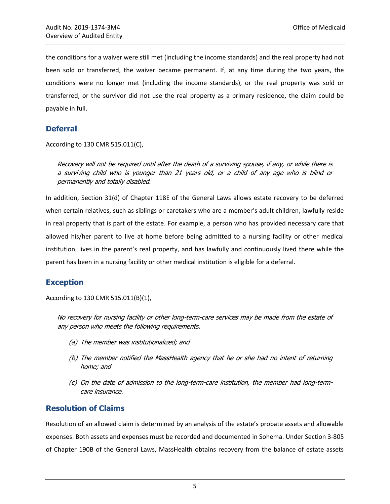the conditions for a waiver were still met (including the income standards) and the real property had not been sold or transferred, the waiver became permanent. If, at any time during the two years, the conditions were no longer met (including the income standards), or the real property was sold or transferred, or the survivor did not use the real property as a primary residence, the claim could be payable in full.

#### **Deferral**

According to 130 CMR 515.011(C),

Recovery will not be required until after the death of a surviving spouse, if any, or while there is a surviving child who is younger than 21 years old, or a child of any age who is blind or permanently and totally disabled.

In addition, Section 31(d) of Chapter 118E of the General Laws allows estate recovery to be deferred when certain relatives, such as siblings or caretakers who are a member's adult children, lawfully reside in real property that is part of the estate. For example, a person who has provided necessary care that allowed his/her parent to live at home before being admitted to a nursing facility or other medical institution, lives in the parent's real property, and has lawfully and continuously lived there while the parent has been in a nursing facility or other medical institution is eligible for a deferral.

#### **Exception**

According to 130 CMR 515.011(B)(1),

No recovery for nursing facility or other long-term-care services may be made from the estate of any person who meets the following requirements.

- (a) The member was institutionalized; and
- (b) The member notified the MassHealth agency that he or she had no intent of returning home; and
- (c) On the date of admission to the long-term-care institution, the member had long-termcare insurance.

#### **Resolution of Claims**

Resolution of an allowed claim is determined by an analysis of the estate's probate assets and allowable expenses. Both assets and expenses must be recorded and documented in Sohema. Under Section 3-805 of Chapter 190B of the General Laws, MassHealth obtains recovery from the balance of estate assets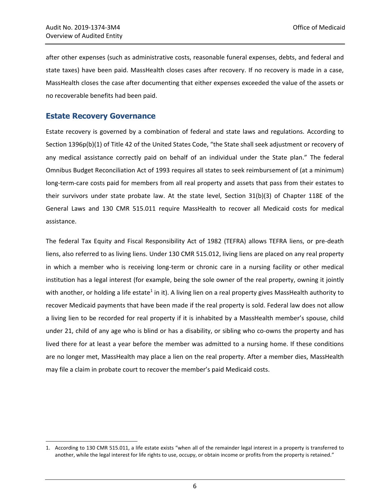after other expenses (such as administrative costs, reasonable funeral expenses, debts, and federal and state taxes) have been paid. MassHealth closes cases after recovery. If no recovery is made in a case, MassHealth closes the case after documenting that either expenses exceeded the value of the assets or no recoverable benefits had been paid.

#### **Estate Recovery Governance**

 $\overline{\phantom{a}}$ 

Estate recovery is governed by a combination of federal and state laws and regulations. According to Section 1396p(b)(1) of Title 42 of the United States Code, "the State shall seek adjustment or recovery of any medical assistance correctly paid on behalf of an individual under the State plan." The federal Omnibus Budget Reconciliation Act of 1993 requires all states to seek reimbursement of (at a minimum) long-term-care costs paid for members from all real property and assets that pass from their estates to their survivors under state probate law. At the state level, Section 31(b)(3) of Chapter 118E of the General Laws and 130 CMR 515.011 require MassHealth to recover all Medicaid costs for medical assistance.

The federal Tax Equity and Fiscal Responsibility Act of 1982 (TEFRA) allows TEFRA liens, or pre-death liens, also referred to as living liens. Under 130 CMR 515.012, living liens are placed on any real property in which a member who is receiving long-term or chronic care in a nursing facility or other medical institution has a legal interest (for example, being the sole owner of the real property, owning it jointly with another, or holding a life estate<sup>1</sup> in it). A living lien on a real property gives MassHealth authority to recover Medicaid payments that have been made if the real property is sold. Federal law does not allow a living lien to be recorded for real property if it is inhabited by a MassHealth member's spouse, child under 21, child of any age who is blind or has a disability, or sibling who co-owns the property and has lived there for at least a year before the member was admitted to a nursing home. If these conditions are no longer met, MassHealth may place a lien on the real property. After a member dies, MassHealth may file a claim in probate court to recover the member's paid Medicaid costs.

<sup>1.</sup> According to 130 CMR 515.011, a life estate exists "when all of the remainder legal interest in a property is transferred to another, while the legal interest for life rights to use, occupy, or obtain income or profits from the property is retained."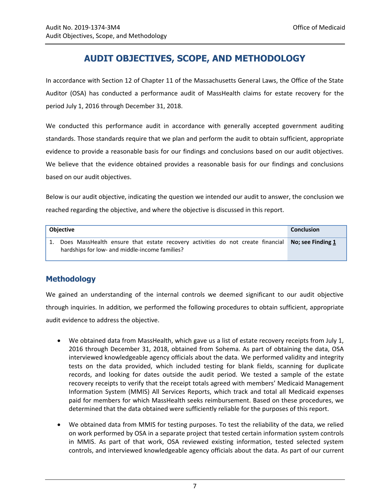# **AUDIT OBJECTIVES, SCOPE, AND METHODOLOGY**

<span id="page-10-0"></span>In accordance with Section 12 of Chapter 11 of the Massachusetts General Laws, the Office of the State Auditor (OSA) has conducted a performance audit of MassHealth claims for estate recovery for the period July 1, 2016 through December 31, 2018.

We conducted this performance audit in accordance with generally accepted government auditing standards. Those standards require that we plan and perform the audit to obtain sufficient, appropriate evidence to provide a reasonable basis for our findings and conclusions based on our audit objectives. We believe that the evidence obtained provides a reasonable basis for our findings and conclusions based on our audit objectives.

Below is our audit objective, indicating the question we intended our audit to answer, the conclusion we reached regarding the objective, and where the objective is discussed in this report.

| <b>Obiective</b>                                                                                                                                      | <b>Conclusion</b> |
|-------------------------------------------------------------------------------------------------------------------------------------------------------|-------------------|
| 1. Does MassHealth ensure that estate recovery activities do not create financial No; see Finding 1<br>hardships for low- and middle-income families? |                   |

#### **Methodology**

We gained an understanding of the internal controls we deemed significant to our audit objective through inquiries. In addition, we performed the following procedures to obtain sufficient, appropriate audit evidence to address the objective.

- We obtained data from MassHealth, which gave us a list of estate recovery receipts from July 1, 2016 through December 31, 2018, obtained from Sohema. As part of obtaining the data, OSA interviewed knowledgeable agency officials about the data. We performed validity and integrity tests on the data provided, which included testing for blank fields, scanning for duplicate records, and looking for dates outside the audit period. We tested a sample of the estate recovery receipts to verify that the receipt totals agreed with members' Medicaid Management Information System (MMIS) All Services Reports, which track and total all Medicaid expenses paid for members for which MassHealth seeks reimbursement. Based on these procedures, we determined that the data obtained were sufficiently reliable for the purposes of this report.
- We obtained data from MMIS for testing purposes. To test the reliability of the data, we relied on work performed by OSA in a separate project that tested certain information system controls in MMIS. As part of that work, OSA reviewed existing information, tested selected system controls, and interviewed knowledgeable agency officials about the data. As part of our current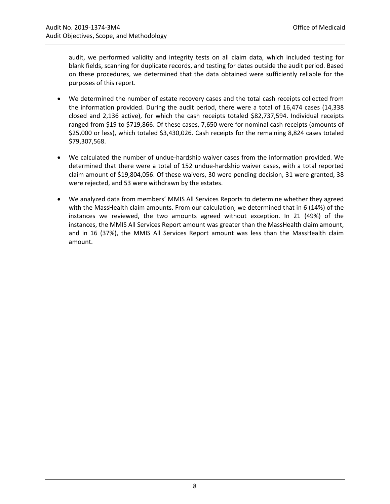audit, we performed validity and integrity tests on all claim data, which included testing for blank fields, scanning for duplicate records, and testing for dates outside the audit period. Based on these procedures, we determined that the data obtained were sufficiently reliable for the purposes of this report.

- We determined the number of estate recovery cases and the total cash receipts collected from the information provided. During the audit period, there were a total of 16,474 cases (14,338 closed and 2,136 active), for which the cash receipts totaled \$82,737,594. Individual receipts ranged from \$19 to \$719,866. Of these cases, 7,650 were for nominal cash receipts (amounts of \$25,000 or less), which totaled \$3,430,026. Cash receipts for the remaining 8,824 cases totaled \$79,307,568.
- We calculated the number of undue-hardship waiver cases from the information provided. We determined that there were a total of 152 undue-hardship waiver cases, with a total reported claim amount of \$19,804,056. Of these waivers, 30 were pending decision, 31 were granted, 38 were rejected, and 53 were withdrawn by the estates.
- We analyzed data from members' MMIS All Services Reports to determine whether they agreed with the MassHealth claim amounts. From our calculation, we determined that in 6 (14%) of the instances we reviewed, the two amounts agreed without exception. In 21 (49%) of the instances, the MMIS All Services Report amount was greater than the MassHealth claim amount, and in 16 (37%), the MMIS All Services Report amount was less than the MassHealth claim amount.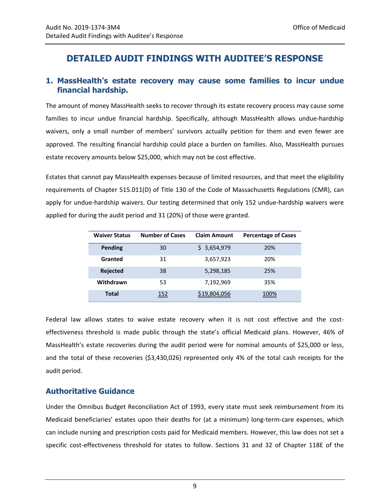# <span id="page-12-0"></span>**DETAILED AUDIT FINDINGS WITH AUDITEE'S RESPONSE**

#### <span id="page-12-1"></span>**1. MassHealth's estate recovery may cause some families to incur undue financial hardship.**

The amount of money MassHealth seeks to recover through its estate recovery process may cause some families to incur undue financial hardship. Specifically, although MassHealth allows undue-hardship waivers, only a small number of members' survivors actually petition for them and even fewer are approved. The resulting financial hardship could place a burden on families. Also, MassHealth pursues estate recovery amounts below \$25,000, which may not be cost effective.

Estates that cannot pay MassHealth expenses because of limited resources, and that meet the eligibility requirements of Chapter 515.011(D) of Title 130 of the Code of Massachusetts Regulations (CMR), can apply for undue-hardship waivers. Our testing determined that only 152 undue-hardship waivers were applied for during the audit period and 31 (20%) of those were granted.

| <b>Waiver Status</b> | <b>Number of Cases</b> | <b>Claim Amount</b> | <b>Percentage of Cases</b> |
|----------------------|------------------------|---------------------|----------------------------|
| Pending              | 30                     | 3,654,979<br>S.     | 20%                        |
| Granted              | 31                     | 3,657,923           | 20%                        |
| <b>Rejected</b>      | 38                     | 5,298,185           | 25%                        |
| Withdrawn            | 53                     | 7,192,969           | 35%                        |
| Total                | 152                    | \$19,804,056        | 100%                       |

Federal law allows states to waive estate recovery when it is not cost effective and the costeffectiveness threshold is made public through the state's official Medicaid plans. However, 46% of MassHealth's estate recoveries during the audit period were for nominal amounts of \$25,000 or less, and the total of these recoveries (\$3,430,026) represented only 4% of the total cash receipts for the audit period.

#### **Authoritative Guidance**

Under the Omnibus Budget Reconciliation Act of 1993, every state must seek reimbursement from its Medicaid beneficiaries' estates upon their deaths for (at a minimum) long-term-care expenses, which can include nursing and prescription costs paid for Medicaid members. However, this law does not set a specific cost-effectiveness threshold for states to follow. Sections 31 and 32 of Chapter 118E of the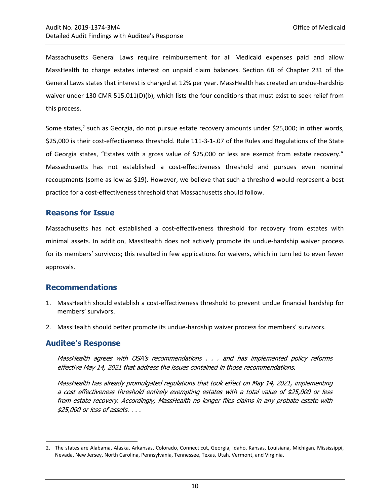Massachusetts General Laws require reimbursement for all Medicaid expenses paid and allow MassHealth to charge estates interest on unpaid claim balances. Section 6B of Chapter 231 of the General Laws states that interest is charged at 12% per year. MassHealth has created an undue-hardship waiver under 130 CMR 515.011(D)(b), which lists the four conditions that must exist to seek relief from this process.

Some states,<sup>2</sup> such as Georgia, do not pursue estate recovery amounts under \$25,000; in other words, \$25,000 is their cost-effectiveness threshold. Rule 111-3-1-.07 of the Rules and Regulations of the State of Georgia states, "Estates with a gross value of \$25,000 or less are exempt from estate recovery." Massachusetts has not established a cost-effectiveness threshold and pursues even nominal recoupments (some as low as \$19). However, we believe that such a threshold would represent a best practice for a cost-effectiveness threshold that Massachusetts should follow.

#### **Reasons for Issue**

Massachusetts has not established a cost-effectiveness threshold for recovery from estates with minimal assets. In addition, MassHealth does not actively promote its undue-hardship waiver process for its members' survivors; this resulted in few applications for waivers, which in turn led to even fewer approvals.

#### <span id="page-13-0"></span>**Recommendations**

- 1. MassHealth should establish a cost-effectiveness threshold to prevent undue financial hardship for members' survivors.
- 2. MassHealth should better promote its undue-hardship waiver process for members' survivors.

#### **Auditee's Response**

 $\overline{\phantom{a}}$ 

MassHealth agrees with OSA's recommendations . . . and has implemented policy reforms effective May 14, 2021 that address the issues contained in those recommendations.

MassHealth has already promulgated regulations that took effect on May 14, 2021, implementing a cost effectiveness threshold entirely exempting estates with a total value of \$25,000 or less from estate recovery. Accordingly, MassHealth no longer files claims in any probate estate with \$25,000 or less of assets. . . .

<sup>2.</sup> The states are Alabama, Alaska, Arkansas, Colorado, Connecticut, Georgia, Idaho, Kansas, Louisiana, Michigan, Mississippi, Nevada, New Jersey, North Carolina, Pennsylvania, Tennessee, Texas, Utah, Vermont, and Virginia.